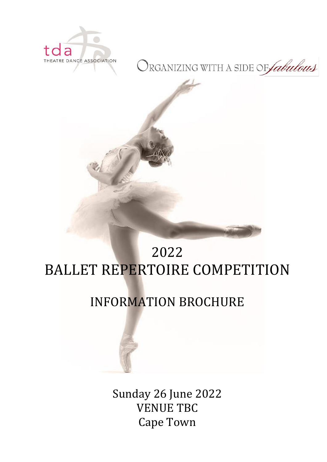

# ORGANIZING WITH A SIDE OF *fabulous*



# 2022 BALLET REPERTOIRE COMPETITION

# INFORMATION BROCHURE

Sunday 26 June 2022 VENUE TBC Cape Town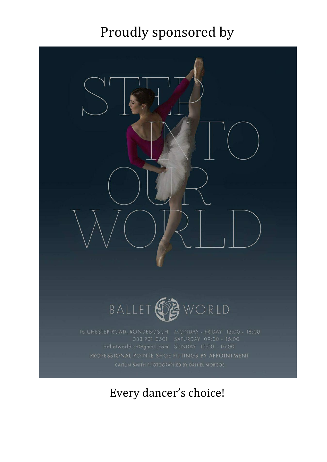# Proudly sponsored by



WORLD BALLET S

PROFESSIONAL POINTE SHOE FITTINGS BY APPOINTMENT

Every dancer's choice!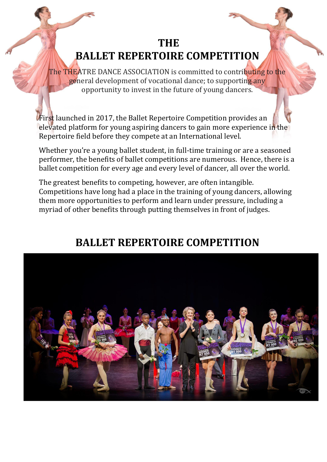# **THE BALLET REPERTOIRE COMPETITION**

The THEATRE DANCE ASSOCIATION is committed to contributing to the general development of vocational dance; to supporting any opportunity to invest in the future of young dancers.

First launched in 2017, the Ballet Repertoire Competition provides an elevated platform for young aspiring dancers to gain more experience in the Repertoire field before they compete at an International level.

Whether you're a young ballet student, in full-time training or are a seasoned performer, the benefits of ballet competitions are numerous. Hence, there is a ballet competition for every age and every level of dancer, all over the world.

The greatest benefits to competing, however, are often intangible. Competitions have long had a place in the training of young dancers, allowing them more opportunities to perform and learn under pressure, including a myriad of other benefits through putting themselves in front of judges.

# **BALLET REPERTOIRE COMPETITION**

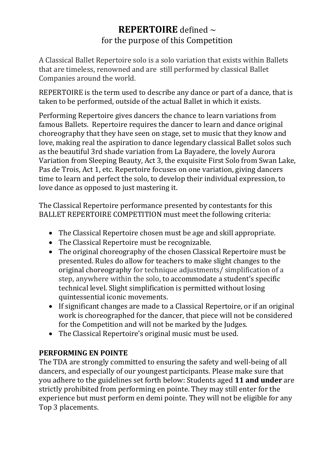# **REPERTOIRE** defined ~ for the purpose of this Competition

A Classical Ballet Repertoire solo is a solo variation that exists within Ballets that are timeless, renowned and are still performed by classical Ballet Companies around the world.

REPERTOIRE is the term used to describe any dance or part of a dance, that is taken to be performed, outside of the actual Ballet in which it exists.

Performing Repertoire gives dancers the chance to learn variations from famous Ballets. Repertoire requires the dancer to learn and dance original choreography that they have seen on stage, set to music that they know and love, making real the aspiration to dance legendary classical Ballet solos such as the beautiful 3rd shade variation from La Bayadere, the lovely Aurora Variation from Sleeping Beauty, Act 3, the exquisite First Solo from Swan Lake, Pas de Trois, Act 1, etc. Repertoire focuses on one variation, giving dancers time to learn and perfect the solo, to develop their individual expression, to love dance as opposed to just mastering it.

The Classical Repertoire performance presented by contestants for this BALLET REPERTOIRE COMPETITION must meet the following criteria:

- The Classical Repertoire chosen must be age and skill appropriate.
- The Classical Repertoire must be recognizable.
- The original choreography of the chosen Classical Repertoire must be presented. Rules do allow for teachers to make slight changes to the original choreography for technique adjustments/ simplification of a step, anywhere within the solo, to accommodate a student's specific technical level. Slight simplification is permitted without losing quintessential iconic movements.
- If significant changes are made to a Classical Repertoire, or if an original work is choreographed for the dancer, that piece will not be considered for the Competition and will not be marked by the Judges.
- The Classical Repertoire's original music must be used.

## **PERFORMING EN POINTE**

The TDA are strongly committed to ensuring the safety and well-being of all dancers, and especially of our youngest participants. Please make sure that you adhere to the guidelines set forth below: Students aged **11 and under** are strictly prohibited from performing en pointe. They may still enter for the experience but must perform en demi pointe. They will not be eligible for any Top 3 placements.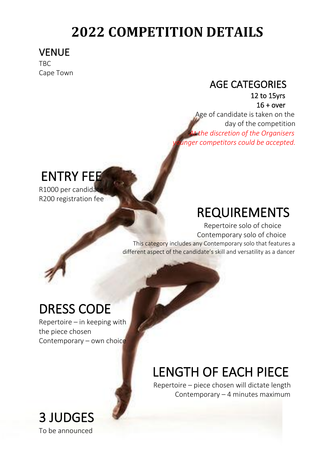# **2022 COMPETITION DETAILS**

# VENUE

TBC Cape Town

# AGE CATEGORIES

 12 to 15yrs 16 + over

 Age of candidate is taken on the day of the competition  *At the discretion of the Organisers naer competitors could be accepted.* 

# ENTRY FEE

R1000 per candida R200 registration fee

# REQUIREMENTS

 Repertoire solo of choice Contemporary solo of choice This category includes any Contemporary solo that features a

different aspect of the candidate's skill and versatility as a dancer

# DRESS CODE

Repertoire – in keeping with the piece chosen Contemporary – own choice

# LENGTH OF EACH PIECE

 Repertoire – piece chosen will dictate length Contemporary – 4 minutes maximum

# 3 JUDGES To be announced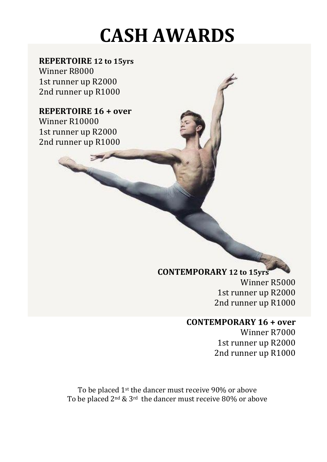# **CASH AWARDS**

# **REPERTOIRE 12 to 15yrs**

Winner R8000 1st runner up R2000 2nd runner up R1000

## **REPERTOIRE 16 + over** Winner R10000

1st runner up R2000 2nd runner up R1000

# **CONTEMPORARY 12 to 15yrs**

Winner R5000 1st runner up R2000 2nd runner up R1000

# **CONTEMPORARY 16 + over**

Winner R7000 1st runner up R2000 2nd runner up R1000

To be placed 1st the dancer must receive 90% or above To be placed 2nd & 3rd the dancer must receive 80% or above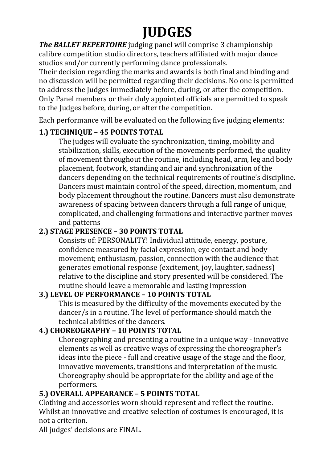# **JUDGES**

*The BALLET REPERTOIRE* judging panel will comprise 3 championship calibre competition studio directors, teachers affiliated with major dance studios and/or currently performing dance professionals.

Their decision regarding the marks and awards is both final and binding and no discussion will be permitted regarding their decisions. No one is permitted to address the Judges immediately before, during, or after the competition. Only Panel members or their duly appointed officials are permitted to speak to the Judges before, during, or after the competition.

Each performance will be evaluated on the following five judging elements:

# **1.) TECHNIQUE – 45 POINTS TOTAL**

The judges will evaluate the synchronization, timing, mobility and stabilization, skills, execution of the movements performed, the quality of movement throughout the routine, including head, arm, leg and body placement, footwork, standing and air and synchronization of the dancers depending on the technical requirements of routine's discipline. Dancers must maintain control of the speed, direction, momentum, and body placement throughout the routine. Dancers must also demonstrate awareness of spacing between dancers through a full range of unique, complicated, and challenging formations and interactive partner moves and patterns

# **2.) STAGE PRESENCE – 30 POINTS TOTAL**

Consists of: PERSONALITY! Individual attitude, energy, posture, confidence measured by facial expression, eye contact and body movement; enthusiasm, passion, connection with the audience that generates emotional response (excitement, joy, laughter, sadness) relative to the discipline and story presented will be considered. The routine should leave a memorable and lasting impression

# **3.) LEVEL OF PERFORMANCE – 10 POINTS TOTAL**

This is measured by the difficulty of the movements executed by the dancer/s in a routine. The level of performance should match the technical abilities of the dancers.

# **4.) CHOREOGRAPHY – 10 POINTS TOTAL**

Choreographing and presenting a routine in a unique way - innovative elements as well as creative ways of expressing the choreographer's ideas into the piece - full and creative usage of the stage and the floor, innovative movements, transitions and interpretation of the music. Choreography should be appropriate for the ability and age of the performers.

# **5.) OVERALL APPEARANCE – 5 POINTS TOTAL**

Clothing and accessories worn should represent and reflect the routine. Whilst an innovative and creative selection of costumes is encouraged, it is not a criterion.

All judges' decisions are FINAL.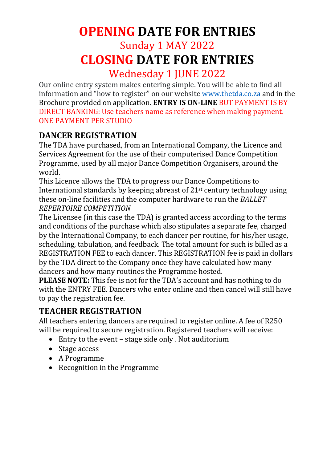# **OPENING DATE FOR ENTRIES**

# Sunday 1 MAY 2022 **CLOSING DATE FOR ENTRIES**

Wednesday 1 JUNE 2022

Our online entry system makes entering simple. You will be able to find all information and "how to register" on our website [www.thetda.co.za](http://www.thetda.co.za/) and in the Brochure provided on application. **ENTRY IS ON-LINE** BUT PAYMENT IS BY DIRECT BANKING: Use teachers name as reference when making payment. ONE PAYMENT PER STUDIO

# **DANCER REGISTRATION**

The TDA have purchased, from an International Company, the Licence and Services Agreement for the use of their computerised Dance Competition Programme, used by all major Dance Competition Organisers, around the world.

This Licence allows the TDA to progress our Dance Competitions to International standards by keeping abreast of 21st century technology using these on-line facilities and the computer hardware to run the *BALLET REPERTOIRE COMPETITION*

The Licensee (in this case the TDA) is granted access according to the terms and conditions of the purchase which also stipulates a separate fee, charged by the International Company, to each dancer per routine, for his/her usage, scheduling, tabulation, and feedback. The total amount for such is billed as a REGISTRATION FEE to each dancer. This REGISTRATION fee is paid in dollars by the TDA direct to the Company once they have calculated how many dancers and how many routines the Programme hosted.

**PLEASE NOTE:** This fee is not for the TDA's account and has nothing to do with the ENTRY FEE. Dancers who enter online and then cancel will still have to pay the registration fee.

# **TEACHER REGISTRATION**

All teachers entering dancers are required to register online. A fee of R250 will be required to secure registration. Registered teachers will receive:

- Entry to the event stage side only . Not auditorium
- Stage access
- A Programme
- Recognition in the Programme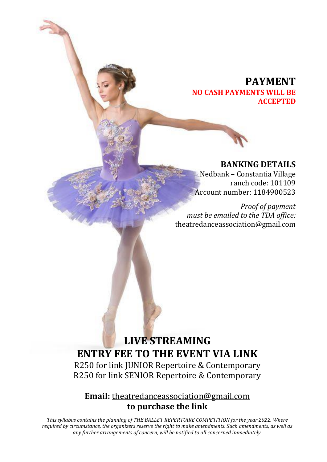## **PAYMENT NO CASH PAYMENTS WILL BE ACCEPTED**

#### **BANKING DETAILS**

Nedbank – Constantia Village ranch code: 101109 Account number: 1184900523

 *Proof of payment must be emailed to the TDA office:* theatredanceassociation@gmail.com

# **LIVE STREAMING ENTRY FEE TO THE EVENT VIA LINK**

R250 for link JUNIOR Repertoire & Contemporary R250 for link SENIOR Repertoire & Contemporary

## **Email:** theatredanc[eassociation@gmail.com](mailto:association@gmail.com) **to purchase the link**

*This syllabus contains the planning of THE BALLET REPERTOIRE COMPETITION for the year 2022. Where required by circumstance, the organizers reserve the right to make amendments. Such amendments, as well as any further arrangements of concern, will be notified to all concerned immediately.*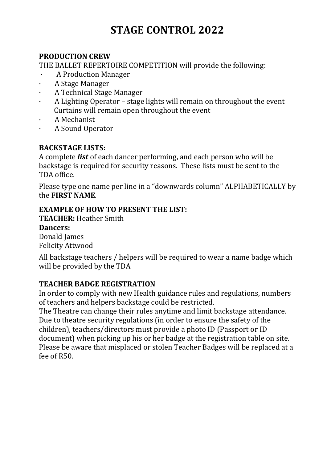# **STAGE CONTROL 2022**

#### **PRODUCTION CREW**

THE BALLET REPERTOIRE COMPETITION will provide the following:

- · A Production Manager
- · A Stage Manager
- · A Technical Stage Manager
- · A Lighting Operator stage lights will remain on throughout the event Curtains will remain open throughout the event
- · A Mechanist
- · A Sound Operator

#### **BACKSTAGE LISTS:**

A complete *list* of each dancer performing, and each person who will be backstage is required for security reasons. These lists must be sent to the TDA office.

Please type one name per line in a "downwards column" ALPHABETICALLY by the **FIRST NAME**.

#### **EXAMPLE OF HOW TO PRESENT THE LIST:**

**TEACHER:** Heather Smith **Dancers:** Donald James

Felicity Attwood

All backstage teachers / helpers will be required to wear a name badge which will be provided by the TDA

#### **TEACHER BADGE REGISTRATION**

In order to comply with new Health guidance rules and regulations, numbers of teachers and helpers backstage could be restricted.

The Theatre can change their rules anytime and limit backstage attendance. Due to theatre security regulations (in order to ensure the safety of the children), teachers/directors must provide a photo ID (Passport or ID document) when picking up his or her badge at the registration table on site. Please be aware that misplaced or stolen Teacher Badges will be replaced at a fee of R50.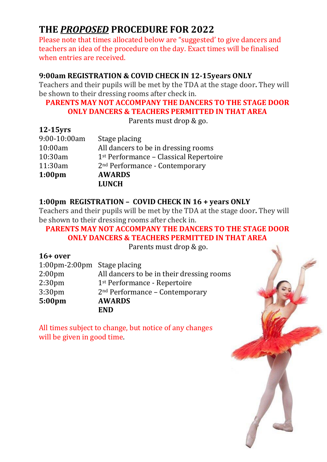# **THE** *PROPOSED* **PROCEDURE FOR 2022**

Please note that times allocated below are "suggested' to give dancers and teachers an idea of the procedure on the day. Exact times will be finalised when entries are received.

## **9:00am REGISTRATION & COVID CHECK IN 12-15years ONLY**

Teachers and their pupils will be met by the TDA at the stage door**.** They will be shown to their dressing rooms after check in.

## **PARENTS MAY NOT ACCOMPANY THE DANCERS TO THE STAGE DOOR ONLY DANCERS & TEACHERS PERMITTED IN THAT AREA**

Parents must drop & go.

| $12-15$ yrs |
|-------------|
|-------------|

|                    | <b>LUNCH</b>                                       |
|--------------------|----------------------------------------------------|
| 1:00 <sub>pm</sub> | <b>AWARDS</b>                                      |
| 11:30am            | 2 <sup>nd</sup> Performance - Contemporary         |
| 10:30am            | 1 <sup>st</sup> Performance – Classical Repertoire |
| 10:00am            | All dancers to be in dressing rooms                |
| 9:00-10:00am       | Stage placing                                      |
|                    |                                                    |

## **1:00pm REGISTRATION – COVID CHECK IN 16 + years ONLY**

Teachers and their pupils will be met by the TDA at the stage door**.** They will be shown to their dressing rooms after check in.

#### **PARENTS MAY NOT ACCOMPANY THE DANCERS TO THE STAGE DOOR ONLY DANCERS & TEACHERS PERMITTED IN THAT AREA**

Parents must drop & go.

| $16+$ over                  |                                            |
|-----------------------------|--------------------------------------------|
| 1:00pm-2:00pm Stage placing |                                            |
| 2:00 <sub>pm</sub>          | All dancers to be in their dressing rooms  |
| 2:30 <sub>pm</sub>          | 1 <sup>st</sup> Performance - Repertoire   |
| 3:30 <sub>pm</sub>          | 2 <sup>nd</sup> Performance - Contemporary |
| 5:00 <sub>pm</sub>          | <b>AWARDS</b>                              |
|                             | <b>END</b>                                 |

All times subject to change, but notice of any changes will be given in good time.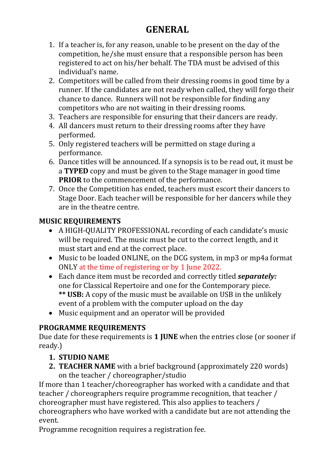# **GENERAL**

- 1. If a teacher is, for any reason, unable to be present on the day of the competition, he/she must ensure that a responsible person has been registered to act on his/her behalf. The TDA must be advised of this individual's name.
- 2. Competitors will be called from their dressing rooms in good time by a runner. If the candidates are not ready when called, they will forgo their chance to dance. Runners will not be responsible for finding any competitors who are not waiting in their dressing rooms.
- 3. Teachers are responsible for ensuring that their dancers are ready.
- 4. All dancers must return to their dressing rooms after they have performed.
- 5. Only registered teachers will be permitted on stage during a performance.
- 6. Dance titles will be announced. If a synopsis is to be read out, it must be a **TYPED** copy and must be given to the Stage manager in good time **PRIOR** to the commencement of the performance.
- 7. Once the Competition has ended, teachers must escort their dancers to Stage Door. Each teacher will be responsible for her dancers while they are in the theatre centre.

## **MUSIC REQUIREMENTS**

- A HIGH-QUALITY PROFESSIONAL recording of each candidate's music will be required. The music must be cut to the correct length, and it must start and end at the correct place.
- Music to be loaded ONLINE, on the DCG system, in mp3 or mp4a format ONLY at the time of registering or by 1 June 2022.
- Each dance item must be recorded and correctly titled *separately:* one for Classical Repertoire and one for the Contemporary piece. **\*\* USB:** A copy of the music must be available on USB in the unlikely event of a problem with the computer upload on the day
- Music equipment and an operator will be provided

# **PROGRAMME REQUIREMENTS**

Due date for these requirements is **1 JUNE** when the entries close (or sooner if ready.)

## **1. STUDIO NAME**

**2. TEACHER NAME** with a brief background (approximately 220 words) on the teacher / choreographer/studio

If more than 1 teacher/choreographer has worked with a candidate and that teacher / choreographers require programme recognition, that teacher / choreographer must have registered. This also applies to teachers / choreographers who have worked with a candidate but are not attending the event.

Programme recognition requires a registration fee.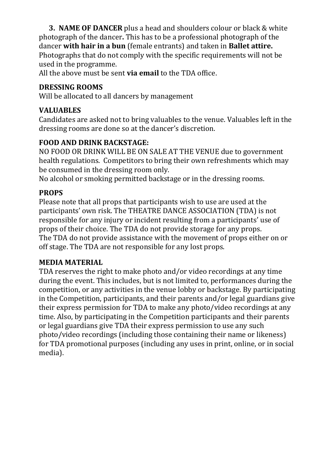**3. NAME OF DANCER** plus a head and shoulders colour or black & white photograph of the dancer**.** This has to be a professional photograph of the dancer **with hair in a bun** (female entrants) and taken in **Ballet attire.** Photographs that do not comply with the specific requirements will not be used in the programme.

All the above must be sent **via email** to the TDA office.

## **DRESSING ROOMS**

Will be allocated to all dancers by management

## **VALUABLES**

Candidates are asked not to bring valuables to the venue. Valuables left in the dressing rooms are done so at the dancer's discretion.

# **FOOD AND DRINK BACKSTAGE:**

NO FOOD OR DRINK WILL BE ON SALE AT THE VENUE due to government health regulations. Competitors to bring their own refreshments which may be consumed in the dressing room only.

No alcohol or smoking permitted backstage or in the dressing rooms.

## **PROPS**

Please note that all props that participants wish to use are used at the participants' own risk. The THEATRE DANCE ASSOCIATION (TDA) is not responsible for any injury or incident resulting from a participants' use of props of their choice. The TDA do not provide storage for any props. The TDA do not provide assistance with the movement of props either on or off stage. The TDA are not responsible for any lost props.

## **MEDIA MATERIAL**

TDA reserves the right to make photo and/or video recordings at any time during the event. This includes, but is not limited to, performances during the competition, or any activities in the venue lobby or backstage. By participating in the Competition, participants, and their parents and/or legal guardians give their express permission for TDA to make any photo/video recordings at any time. Also, by participating in the Competition participants and their parents or legal guardians give TDA their express permission to use any such photo/video recordings (including those containing their name or likeness) for TDA promotional purposes (including any uses in print, online, or in social media).